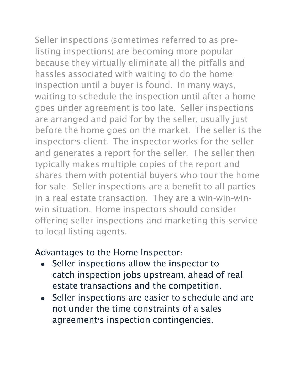Seller inspections (sometimes referred to as prelisting inspections) are becoming more popular because they virtually eliminate all the pitfalls and

hassles associated with waiting to do the home inspection until a buyer is found. In many ways, waiting to schedule the inspection until after a home goes under agreement is too late. Seller inspections are arranged and paid for by the seller, usually just before the home goes on the market. The seller is the inspector's client. The inspector works for the seller and generates a report for the seller. The seller then typically makes multiple copies of the report and shares them with potential buyers who tour the home for sale. Seller inspections are a benefit to all parties in a real estate transaction. They are a win-win-winwin situation. Home inspectors should consider offering seller inspections and marketing this service to local listing agents.

## Advantages to the Home Inspector:

- Seller inspections allow the inspector to catch inspection jobs upstream, ahead of real estate transactions and the competition.
- Seller inspections are easier to schedule and are not under the time constraints of a sales agreement's inspection contingencies.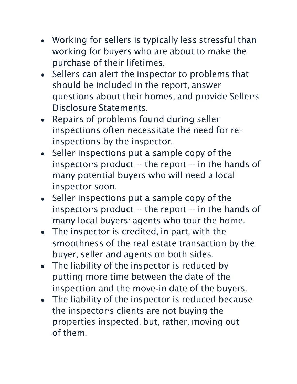- Working for sellers is typically less stressful than working for buyers who are about to make the purchase of their lifetimes.
- Sellers can alert the inspector to problems that should be included in the report, answer questions about their homes, and provide Seller's Disclosure Statements.
- Repairs of problems found during seller inspections often necessitate the need for reinspections by the inspector.
- Seller inspections put a sample copy of the inspector's product -- the report -- in the hands of many potential buyers who will need a local inspector soon.
- Seller inspections put a sample copy of the inspector's product -- the report -- in the hands of many local buyers' agents who tour the home.
- The inspector is credited, in part, with the smoothness of the real estate transaction by the buyer, seller and agents on both sides.
- The liability of the inspector is reduced by putting more time between the date of the inspection and the move-in date of the buyers.
- The liability of the inspector is reduced because the inspector's clients are not buying the properties inspected, but, rather, moving out of them.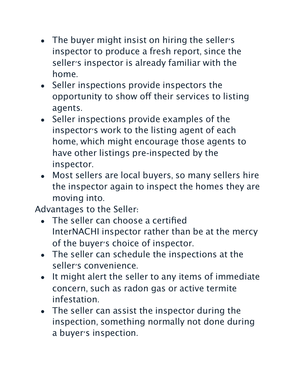- The buyer might insist on hiring the seller's inspector to produce a fresh report, since the seller's inspector is already familiar with the home.
- Seller inspections provide inspectors the opportunity to show off their services to listing agents.
- Seller inspections provide examples of the inspector's work to the listing agent of each home, which might encourage those agents to have other listings pre-inspected by the inspector.
- Most sellers are local buyers, so many sellers hire the inspector again to inspect the homes they are moving into.

Advantages to the Seller:

- The seller can choose a certified InterNACHI inspector rather than be at the mercy of the buyer's choice of inspector.
- The seller can schedule the inspections at the seller's convenience.
- It might alert the seller to any items of immediate concern, such as radon gas or active termite infestation.
- The seller can assist the inspector during the inspection, something normally not done during a buyer's inspection.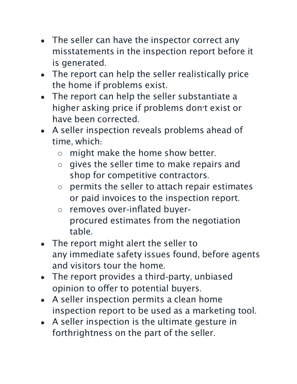- The seller can have the inspector correct any misstatements in the inspection report before it is generated.
- The report can help the seller realistically price the home if problems exist.
- The report can help the seller substantiate a higher asking price if problems don't exist or have been corrected.
- A seller inspection reveals problems ahead of time, which:
	- might make the home show better.
	- gives the seller time to make repairs and shop for competitive contractors.
	- permits the seller to attach repair estimates or paid invoices to the inspection report.
	- removes over-inflated buyerprocured estimates from the negotiation table.
- The report might alert the seller to any immediate safety issues found, before agents and visitors tour the home.
- The report provides a third-party, unbiased opinion to offer to potential buyers.
- A seller inspection permits a clean home inspection report to be used as a marketing tool.
- A seller inspection is the ultimate gesture in forthrightness on the part of the seller.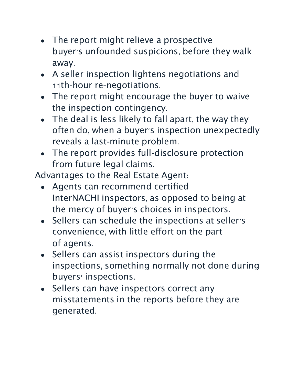- The report might relieve a prospective buyer's unfounded suspicions, before they walk away.
- A seller inspection lightens negotiations and 11th-hour re-negotiations.
- The report might encourage the buyer to waive the inspection contingency.
- The deal is less likely to fall apart, the way they often do, when a buyer's inspection unexpectedly reveals a last-minute problem.
- The report provides full-disclosure protection from future legal claims.

Advantages to the Real Estate Agent:

- Agents can recommend certified InterNACHI inspectors, as opposed to being at the mercy of buyer's choices in inspectors.
- Sellers can schedule the inspections at seller's convenience, with little effort on the part of agents.
- Sellers can assist inspectors during the inspections, something normally not done during buyers' inspections.
- Sellers can have inspectors correct any misstatements in the reports before they are generated.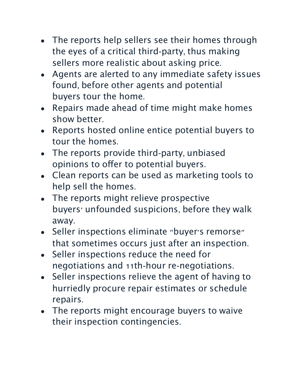- The reports help sellers see their homes through the eyes of a critical third-party, thus making sellers more realistic about asking price.
- Agents are alerted to any immediate safety issues found, before other agents and potential buyers tour the home.
- Repairs made ahead of time might make homes show better.
- Reports hosted online entice potential buyers to tour the homes.
- The reports provide third-party, unbiased opinions to offer to potential buyers.
- Clean reports can be used as marketing tools to help sell the homes.
- The reports might relieve prospective buyers' unfounded suspicions, before they walk away.
- Seller inspections eliminate "buyer's remorse" that sometimes occurs just after an inspection.
- Seller inspections reduce the need for negotiations and 11th-hour re-negotiations.
- Seller inspections relieve the agent of having to hurriedly procure repair estimates or schedule repairs.
- The reports might encourage buyers to waive their inspection contingencies.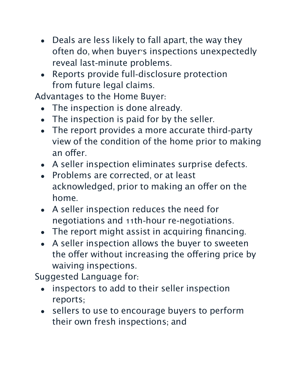- Deals are less likely to fall apart, the way they often do, when buyer's inspections unexpectedly reveal last-minute problems.
- Reports provide full-disclosure protection from future legal claims.

Advantages to the Home Buyer:

- The inspection is done already.
- The inspection is paid for by the seller.
- The report provides a more accurate third-party view of the condition of the home prior to making an offer.
- A seller inspection eliminates surprise defects.
- Problems are corrected, or at least acknowledged, prior to making an offer on the home.
- A seller inspection reduces the need for negotiations and 11th-hour re-negotiations.
- The report might assist in acquiring financing.
- A seller inspection allows the buyer to sweeten the offer without increasing the offering price by waiving inspections.

Suggested Language for:

- inspectors to add to their seller inspection reports;
- sellers to use to encourage buyers to perform their own fresh inspections; and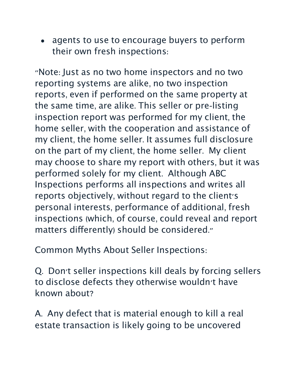• agents to use to encourage buyers to perform their own fresh inspections:

"Note: Just as no two home inspectors and no two reporting systems are alike, no two inspection reports, even if performed on the same property at the same time, are alike. This seller or pre-listing inspection report was performed for my client, the home seller, with the cooperation and assistance of my client, the home seller. It assumes full disclosure on the part of my client, the home seller. My client may choose to share my report with others, but it was performed solely for my client. Although ABC Inspections performs all inspections and writes all reports objectively, without regard to the client's personal interests, performance of additional, fresh inspections (which, of course, could reveal and report matters diferently) should be considered."

Common Myths About Seller Inspections:

Q. Don't seller inspections kill deals by forcing sellers to disclose defects they otherwise wouldn't have known about?

A. Any defect that is material enough to kill a real estate transaction is likely going to be uncovered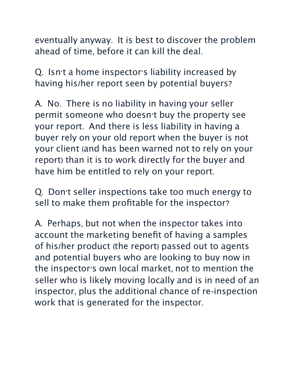eventually anyway. It is best to discover the problem ahead of time, before it can kill the deal.

Q. Isn't a home inspector's liability increased by having his/her report seen by potential buyers?

A. No. There is no liability in having your seller permit someone who doesn't buy the property see your report. And there is less liability in having a buyer rely on your old report when the buyer is not your client (and has been warned not to rely on your report) than it is to work directly for the buyer and have him be entitled to rely on your report.

Q. Don't seller inspections take too much energy to sell to make them profitable for the inspector?

A. Perhaps, but not when the inspector takes into account the marketing benefit of having a samples of his/her product (the report) passed out to agents and potential buyers who are looking to buy now in the inspector's own local market, not to mention the seller who is likely moving locally and is in need of an inspector, plus the additional chance of re-inspection work that is generated for the inspector.